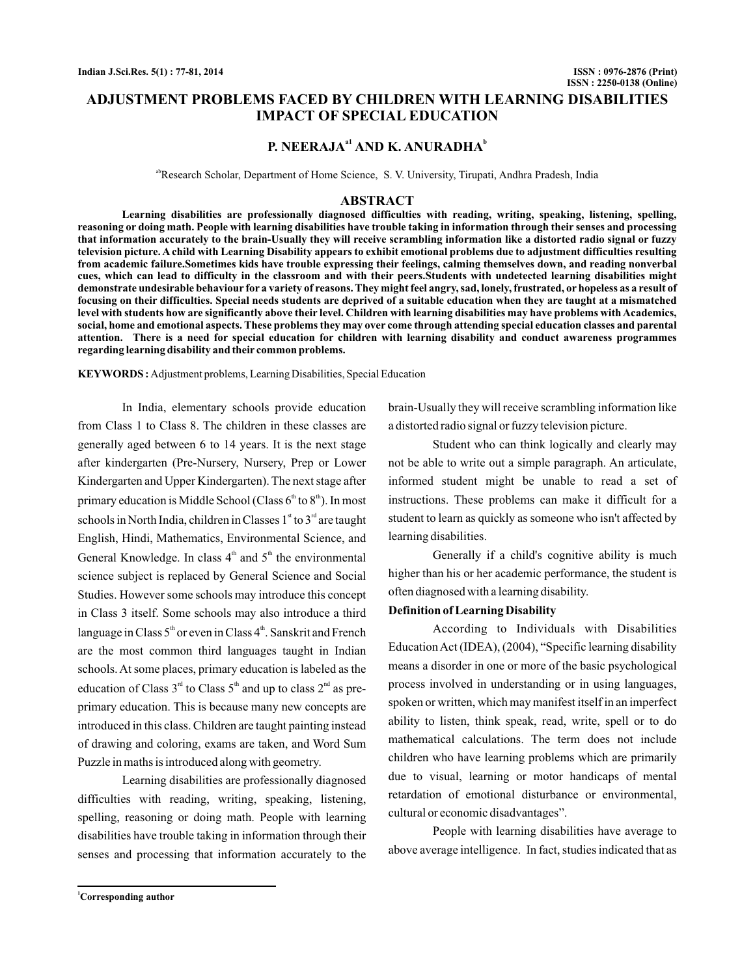## **ADJUSTMENT PROBLEMS FACED BY CHILDREN WITH LEARNING DISABILITIES IMPACT OF SPECIAL EDUCATION**

## **P. NEERAJA<sup>** $a1$ **</sup> AND K. ANURADHA<sup>b</sup>**

<sup>ab</sup>Research Scholar, Department of Home Science, S. V. University, Tirupati, Andhra Pradesh, India

### **ABSTRACT**

**Learning disabilities are professionally diagnosed difficulties with reading, writing, speaking, listening, spelling, reasoning or doing math. People with learning disabilities have trouble taking in information through their senses and processing that information accurately to the brain-Usually they will receive scrambling information like a distorted radio signal or fuzzy television picture. A child with Learning Disability appears to exhibit emotional problems due to adjustment difficulties resulting from academic failure.Sometimes kids have trouble expressing their feelings, calming themselves down, and reading nonverbal cues, which can lead to difficulty in the classroom and with their peers.Students with undetected learning disabilities might demonstrate undesirable behaviour for a variety of reasons. They might feel angry, sad, lonely, frustrated, or hopeless as a result of focusing on their difficulties. Special needs students are deprived of a suitable education when they are taught at a mismatched level with students how are significantly above their level. Children with learning disabilities may have problems with Academics, social, home and emotional aspects. These problems they may over come through attending special education classes and parental attention. There is a need for special education for children with learning disability and conduct awareness programmes regarding learning disability and their common problems.**

**KEYWORDS :** Adjustment problems, Learning Disabilities, Special Education

In India, elementary schools provide education from Class 1 to Class 8. The children in these classes are generally aged between 6 to 14 years. It is the next stage after kindergarten (Pre-Nursery, Nursery, Prep or Lower Kindergarten and Upper Kindergarten). The next stage after primary education is Middle School (Class  $6^{\text{\tiny th}}$  to  $8^{\text{\tiny th}}$ ). In most schools in North India, children in Classes  $1^{\text{st}}$  to  $3^{\text{rd}}$  are taught English, Hindi, Mathematics, Environmental Science, and General Knowledge. In class  $4<sup>th</sup>$  and  $5<sup>th</sup>$  the environmental science subject is replaced by General Science and Social Studies. However some schools may introduce this concept in Class 3 itself. Some schools may also introduce a third language in Class  $5^{\textrm{\tiny{th}}}$  or even in Class  $4^{\textrm{\tiny{th}}}$ . Sanskrit and French are the most common third languages taught in Indian schools. At some places, primary education is labeled as the education of Class  $3<sup>rd</sup>$  to Class  $5<sup>th</sup>$  and up to class  $2<sup>nd</sup>$  as preprimary education. This is because many new concepts are introduced in this class. Children are taught painting instead of drawing and coloring, exams are taken, and Word Sum Puzzle in maths is introduced along with geometry.

Learning disabilities are professionally diagnosed difficulties with reading, writing, speaking, listening, spelling, reasoning or doing math. People with learning disabilities have trouble taking in information through their senses and processing that information accurately to the brain-Usually they will receive scrambling information like a distorted radio signal or fuzzy television picture.

Student who can think logically and clearly may not be able to write out a simple paragraph. An articulate, informed student might be unable to read a set of instructions. These problems can make it difficult for a student to learn as quickly as someone who isn't affected by learning disabilities.

Generally if a child's cognitive ability is much higher than his or her academic performance, the student is often diagnosed with a learning disability.

#### **Definition of Learning Disability**

According to Individuals with Disabilities EducationAct (IDEA), (2004), "Specific learning disability means a disorder in one or more of the basic psychological process involved in understanding or in using languages, spoken or written, which may manifest itself in an imperfect ability to listen, think speak, read, write, spell or to do mathematical calculations. The term does not include children who have learning problems which are primarily due to visual, learning or motor handicaps of mental retardation of emotional disturbance or environmental, cultural or economic disadvantages".

People with learning disabilities have average to above average intelligence. In fact, studies indicated that as

**<sup>1</sup>Corresponding author**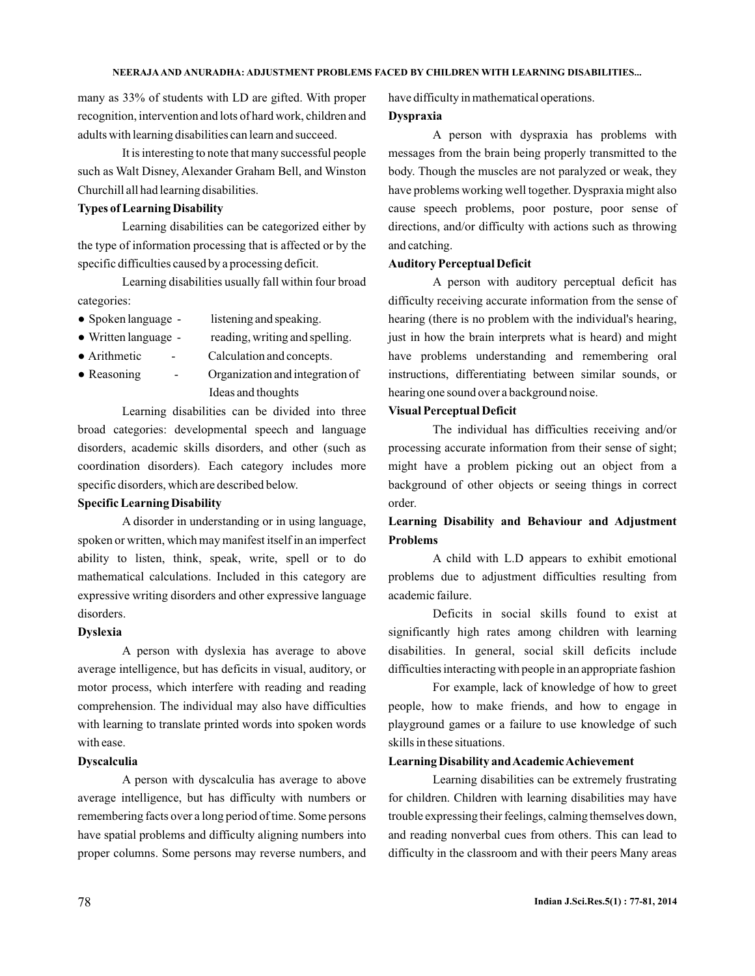many as 33% of students with LD are gifted. With proper recognition, intervention and lots of hard work, children and adults with learning disabilities can learn and succeed.

It is interesting to note that many successful people such as Walt Disney, Alexander Graham Bell, and Winston Churchill all had learning disabilities.

## **Types of Learning Disability**

Learning disabilities can be categorized either by the type of information processing that is affected or by the specific difficulties caused by a processing deficit.

Learning disabilities usually fall within four broad categories:

- listening and speaking. • Spoken language -
- reading, writing and spelling. • Written language -

Calculation and concepts. • Arithmetic

Organization and integration of Ideas and thoughts • Reasoning

Learning disabilities can be divided into three broad categories: developmental speech and language disorders, academic skills disorders, and other (such as coordination disorders). Each category includes more specific disorders, which are described below.

### **Specific Learning Disability**

A disorder in understanding or in using language, spoken or written, which may manifest itself in an imperfect ability to listen, think, speak, write, spell or to do mathematical calculations. Included in this category are expressive writing disorders and other expressive language disorders.

### **Dyslexia**

A person with dyslexia has average to above average intelligence, but has deficits in visual, auditory, or motor process, which interfere with reading and reading comprehension. The individual may also have difficulties with learning to translate printed words into spoken words with ease.

### **Dyscalculia**

A person with dyscalculia has average to above average intelligence, but has difficulty with numbers or remembering facts over a long period of time. Some persons have spatial problems and difficulty aligning numbers into proper columns. Some persons may reverse numbers, and have difficulty in mathematical operations.

### **Dyspraxia**

A person with dyspraxia has problems with messages from the brain being properly transmitted to the body. Though the muscles are not paralyzed or weak, they have problems working well together. Dyspraxia might also cause speech problems, poor posture, poor sense of directions, and/or difficulty with actions such as throwing and catching.

### **Auditory Perceptual Deficit**

A person with auditory perceptual deficit has difficulty receiving accurate information from the sense of hearing (there is no problem with the individual's hearing, just in how the brain interprets what is heard) and might have problems understanding and remembering oral instructions, differentiating between similar sounds, or hearing one sound over a background noise.

### **Visual Perceptual Deficit**

The individual has difficulties receiving and/or processing accurate information from their sense of sight; might have a problem picking out an object from a background of other objects or seeing things in correct order.

# **Learning Disability and Behaviour and Adjustment Problems**

A child with L.D appears to exhibit emotional problems due to adjustment difficulties resulting from academic failure.

Deficits in social skills found to exist at significantly high rates among children with learning disabilities. In general, social skill deficits include difficulties interacting with people in an appropriate fashion

For example, lack of knowledge of how to greet people, how to make friends, and how to engage in playground games or a failure to use knowledge of such skills in these situations.

### **Learning Disability andAcademicAchievement**

Learning disabilities can be extremely frustrating for children. Children with learning disabilities may have trouble expressing their feelings, calming themselves down, and reading nonverbal cues from others. This can lead to difficulty in the classroom and with their peers Many areas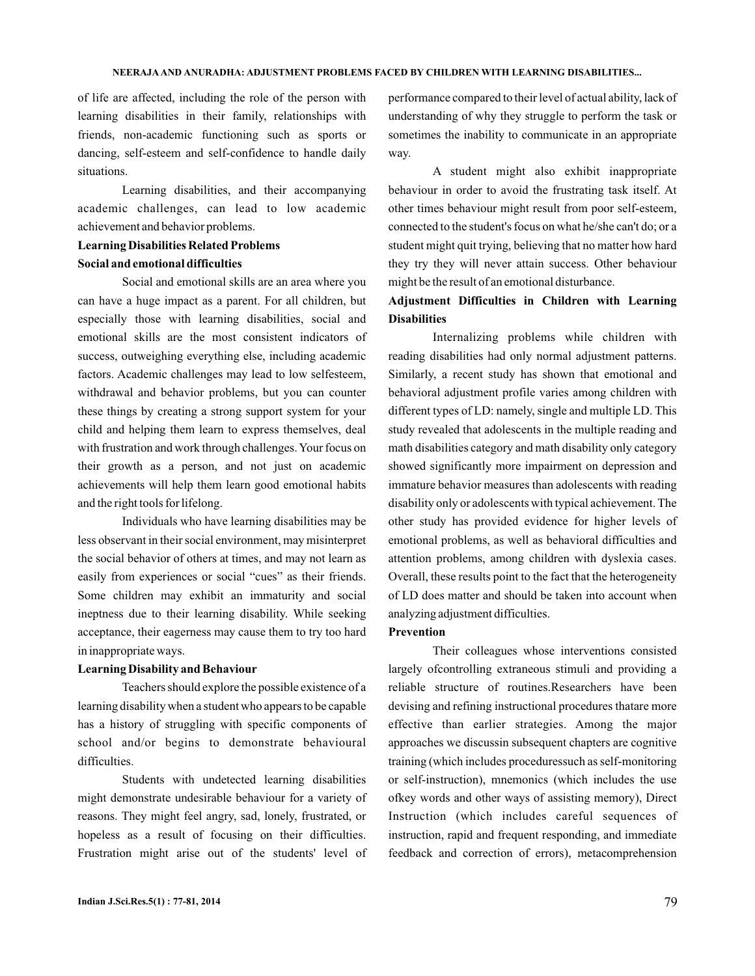of life are affected, including the role of the person with learning disabilities in their family, relationships with friends, non-academic functioning such as sports or dancing, self-esteem and self-confidence to handle daily situations.

Learning disabilities, and their accompanying academic challenges, can lead to low academic achievement and behavior problems.

# **Learning Disabilities Related Problems Social and emotional difficulties**

Social and emotional skills are an area where you can have a huge impact as a parent. For all children, but especially those with learning disabilities, social and emotional skills are the most consistent indicators of success, outweighing everything else, including academic factors. Academic challenges may lead to low selfesteem, withdrawal and behavior problems, but you can counter these things by creating a strong support system for your child and helping them learn to express themselves, deal with frustration and work through challenges.Your focus on their growth as a person, and not just on academic achievements will help them learn good emotional habits and the right tools for lifelong.

Individuals who have learning disabilities may be less observant in their social environment, may misinterpret the social behavior of others at times, and may not learn as easily from experiences or social "cues" as their friends. Some children may exhibit an immaturity and social ineptness due to their learning disability. While seeking acceptance, their eagerness may cause them to try too hard in inappropriate ways.

#### **Learning Disability and Behaviour**

Teachers should explore the possible existence of a learning disability when a student who appears to be capable has a history of struggling with specific components of school and/or begins to demonstrate behavioural difficulties.

Students with undetected learning disabilities might demonstrate undesirable behaviour for a variety of reasons. They might feel angry, sad, lonely, frustrated, or hopeless as a result of focusing on their difficulties. Frustration might arise out of the students' level of performance compared to their level of actual ability, lack of understanding of why they struggle to perform the task or sometimes the inability to communicate in an appropriate way.

A student might also exhibit inappropriate behaviour in order to avoid the frustrating task itself. At other times behaviour might result from poor self-esteem, connected to the student's focus on what he/she can't do; or a student might quit trying, believing that no matter how hard they try they will never attain success. Other behaviour might be the result of an emotional disturbance.

## **Adjustment Difficulties in Children with Learning Disabilities**

Internalizing problems while children with reading disabilities had only normal adjustment patterns. Similarly, a recent study has shown that emotional and behavioral adjustment profile varies among children with different types of LD: namely, single and multiple LD. This study revealed that adolescents in the multiple reading and math disabilities category and math disability only category showed significantly more impairment on depression and immature behavior measures than adolescents with reading disability only or adolescents with typical achievement. The other study has provided evidence for higher levels of emotional problems, as well as behavioral difficulties and attention problems, among children with dyslexia cases. Overall, these results point to the fact that the heterogeneity of LD does matter and should be taken into account when analyzing adjustment difficulties.

### **Prevention**

Their colleagues whose interventions consisted largely ofcontrolling extraneous stimuli and providing a reliable structure of routines.Researchers have been devising and refining instructional procedures thatare more effective than earlier strategies. Among the major approaches we discussin subsequent chapters are cognitive training (which includes proceduressuch as self-monitoring or self-instruction), mnemonics (which includes the use ofkey words and other ways of assisting memory), Direct Instruction (which includes careful sequences of instruction, rapid and frequent responding, and immediate feedback and correction of errors), metacomprehension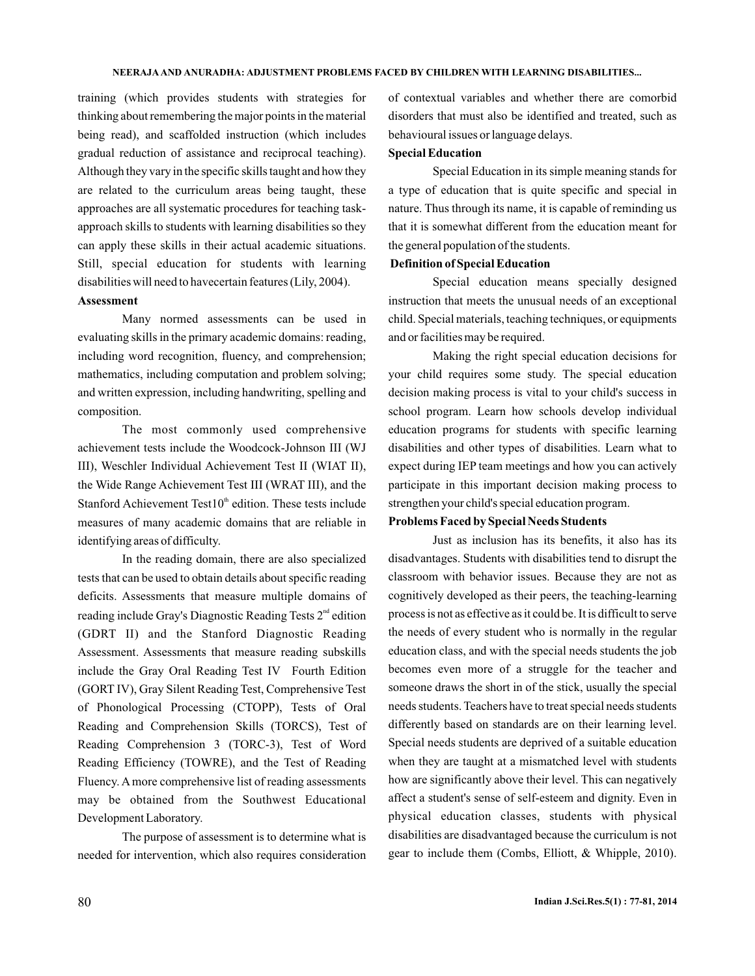training (which provides students with strategies for thinking about remembering the major points in the material being read), and scaffolded instruction (which includes gradual reduction of assistance and reciprocal teaching). Although they vary in the specific skills taught and how they are related to the curriculum areas being taught, these approaches are all systematic procedures for teaching taskapproach skills to students with learning disabilities so they can apply these skills in their actual academic situations. Still, special education for students with learning disabilities will need to havecertain features (Lily, 2004).

### **Assessment**

Many normed assessments can be used in evaluating skills in the primary academic domains: reading, including word recognition, fluency, and comprehension; mathematics, including computation and problem solving; and written expression, including handwriting, spelling and composition.

The most commonly used comprehensive achievement tests include the Woodcock-Johnson III (WJ III), Weschler Individual Achievement Test II (WIAT II), the Wide Range Achievement Test III (WRAT III), and the Stanford Achievement Test $10<sup>th</sup>$  edition. These tests include measures of many academic domains that are reliable in identifying areas of difficulty.

In the reading domain, there are also specialized tests that can be used to obtain details about specific reading deficits. Assessments that measure multiple domains of reading include Gray's Diagnostic Reading Tests  $2^{\text{nd}}$  edition (GDRT II) and the Stanford Diagnostic Reading Assessment. Assessments that measure reading subskills include the Gray Oral Reading Test IV Fourth Edition (GORT IV), Gray Silent Reading Test, Comprehensive Test of Phonological Processing (CTOPP), Tests of Oral Reading and Comprehension Skills (TORCS), Test of Reading Comprehension 3 (TORC-3), Test of Word Reading Efficiency (TOWRE), and the Test of Reading Fluency. A more comprehensive list of reading assessments may be obtained from the Southwest Educational Development Laboratory.

The purpose of assessment is to determine what is needed for intervention, which also requires consideration

of contextual variables and whether there are comorbid disorders that must also be identified and treated, such as behavioural issues or language delays.

### **Special Education**

Special Education in its simple meaning stands for a type of education that is quite specific and special in nature. Thus through its name, it is capable of reminding us that it is somewhat different from the education meant for the general population of the students.

## **Definition of Special Education**

Special education means specially designed instruction that meets the unusual needs of an exceptional child. Special materials, teaching techniques, or equipments and or facilities may be required.

Making the right special education decisions for your child requires some study. The special education decision making process is vital to your child's success in school program. Learn how schools develop individual education programs for students with specific learning disabilities and other types of disabilities. Learn what to expect during IEP team meetings and how you can actively participate in this important decision making process to strengthen your child's special education program.

### **Problems Faced by Special Needs Students**

Just as inclusion has its benefits, it also has its disadvantages. Students with disabilities tend to disrupt the classroom with behavior issues. Because they are not as cognitively developed as their peers, the teaching-learning process is not as effective as it could be. It is difficult to serve the needs of every student who is normally in the regular education class, and with the special needs students the job becomes even more of a struggle for the teacher and someone draws the short in of the stick, usually the special needs students. Teachers have to treat special needs students differently based on standards are on their learning level. Special needs students are deprived of a suitable education when they are taught at a mismatched level with students how are significantly above their level. This can negatively affect a student's sense of self-esteem and dignity. Even in physical education classes, students with physical disabilities are disadvantaged because the curriculum is not gear to include them (Combs, Elliott, & Whipple, 2010).